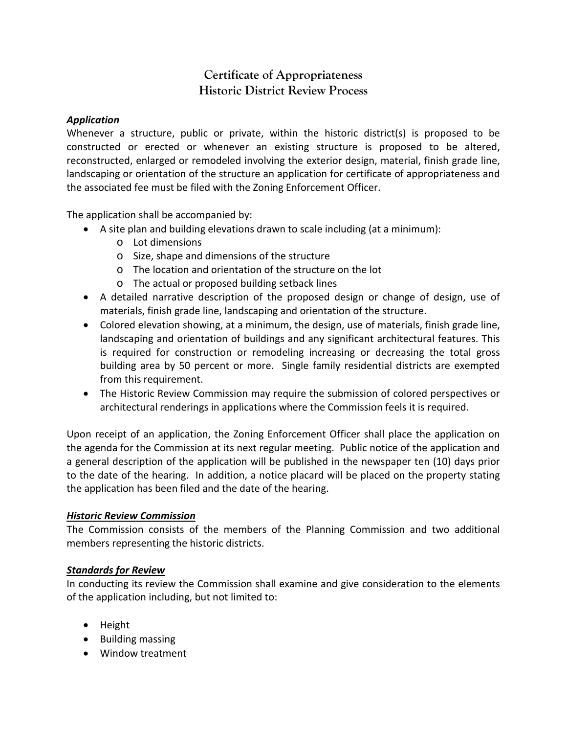# **Certificate of Appropriateness Historic District Review Process**

# *Application*

Whenever a structure, public or private, within the historic district(s) is proposed to be constructed or erected or whenever an existing structure is proposed to be altered, reconstructed, enlarged or remodeled involving the exterior design, material, finish grade line, landscaping or orientation of the structure an application for certificate of appropriateness and the associated fee must be filed with the Zoning Enforcement Officer.

The application shall be accompanied by:

- A site plan and building elevations drawn to scale including (at a minimum):
	- o Lot dimensions
	- o Size, shape and dimensions of the structure
	- o The location and orientation of the structure on the lot
	- o The actual or proposed building setback lines
- A detailed narrative description of the proposed design or change of design, use of materials, finish grade line, landscaping and orientation of the structure.
- Colored elevation showing, at a minimum, the design, use of materials, finish grade line, landscaping and orientation of buildings and any significant architectural features. This is required for construction or remodeling increasing or decreasing the total gross building area by 50 percent or more. Single family residential districts are exempted from this requirement.
- The Historic Review Commission may require the submission of colored perspectives or architectural renderings in applications where the Commission feels it is required.

Upon receipt of an application, the Zoning Enforcement Officer shall place the application on the agenda for the Commission at its next regular meeting. Public notice of the application and a general description of the application will be published in the newspaper ten (10) days prior to the date of the hearing. In addition, a notice placard will be placed on the property stating the application has been filed and the date of the hearing.

### *Historic Review Commission*

The Commission consists of the members of the Planning Commission and two additional members representing the historic districts.

# *Standards for Review*

In conducting its review the Commission shall examine and give consideration to the elements of the application including, but not limited to:

- Height
- Building massing
- Window treatment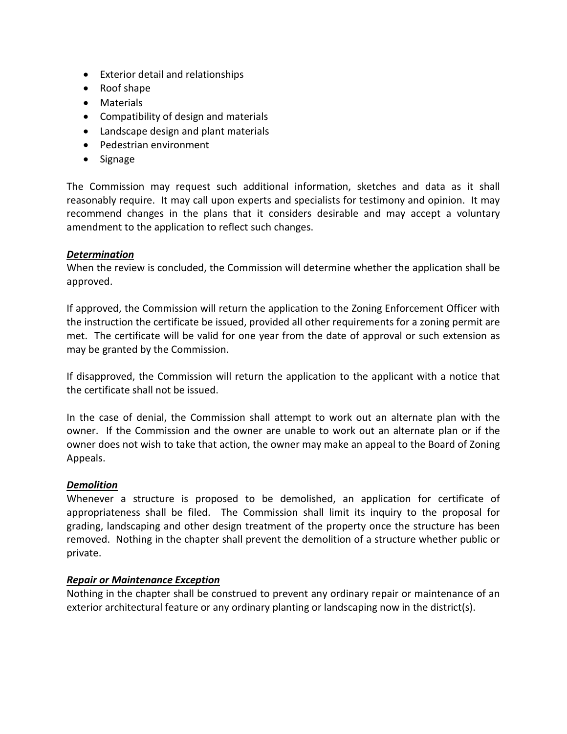- Exterior detail and relationships
- Roof shape
- Materials
- Compatibility of design and materials
- Landscape design and plant materials
- Pedestrian environment
- Signage

The Commission may request such additional information, sketches and data as it shall reasonably require. It may call upon experts and specialists for testimony and opinion. It may recommend changes in the plans that it considers desirable and may accept a voluntary amendment to the application to reflect such changes.

## *Determination*

When the review is concluded, the Commission will determine whether the application shall be approved.

If approved, the Commission will return the application to the Zoning Enforcement Officer with the instruction the certificate be issued, provided all other requirements for a zoning permit are met. The certificate will be valid for one year from the date of approval or such extension as may be granted by the Commission.

If disapproved, the Commission will return the application to the applicant with a notice that the certificate shall not be issued.

In the case of denial, the Commission shall attempt to work out an alternate plan with the owner. If the Commission and the owner are unable to work out an alternate plan or if the owner does not wish to take that action, the owner may make an appeal to the Board of Zoning Appeals.

### *Demolition*

Whenever a structure is proposed to be demolished, an application for certificate of appropriateness shall be filed. The Commission shall limit its inquiry to the proposal for grading, landscaping and other design treatment of the property once the structure has been removed. Nothing in the chapter shall prevent the demolition of a structure whether public or private.

### *Repair or Maintenance Exception*

Nothing in the chapter shall be construed to prevent any ordinary repair or maintenance of an exterior architectural feature or any ordinary planting or landscaping now in the district(s).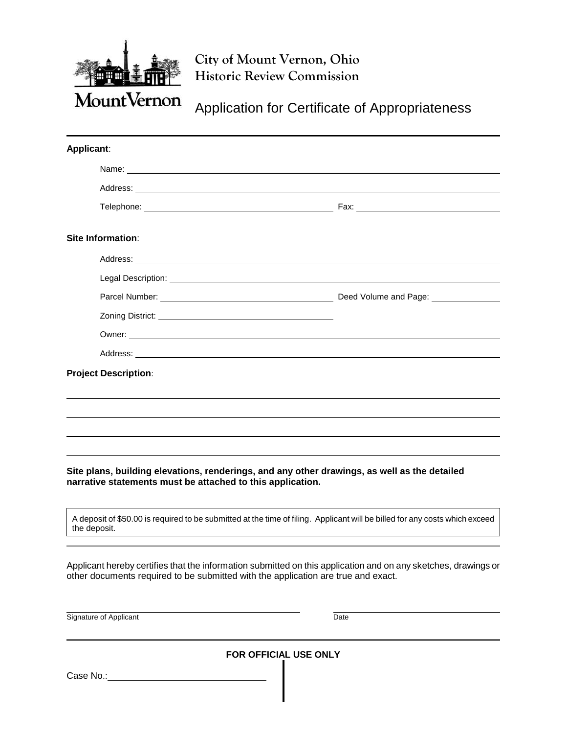

**City of Mount Vernon, Ohio Historic Review Commission**

Application for Certificate of Appropriateness

| Applicant:                                                                                                                                                                                                                           |  |  |
|--------------------------------------------------------------------------------------------------------------------------------------------------------------------------------------------------------------------------------------|--|--|
| Name: <u>example and a series of the series of the series of the series of the series of the series of the series of the series of the series of the series of the series of the series of the series of the series of the serie</u> |  |  |
| Address: <u>Address:</u> Address: Address: Address: Address: Address: Address: Address: Address: Address: Address: Address: Address: Address: Address: Address: Address: Address: Address: Address: Address: Address: Address: Addr  |  |  |
|                                                                                                                                                                                                                                      |  |  |
| Site Information:                                                                                                                                                                                                                    |  |  |
| Address: Note that the contract of the contract of the contract of the contract of the contract of the contract of the contract of the contract of the contract of the contract of the contract of the contract of the contrac       |  |  |
|                                                                                                                                                                                                                                      |  |  |
|                                                                                                                                                                                                                                      |  |  |
|                                                                                                                                                                                                                                      |  |  |
|                                                                                                                                                                                                                                      |  |  |
|                                                                                                                                                                                                                                      |  |  |
|                                                                                                                                                                                                                                      |  |  |
|                                                                                                                                                                                                                                      |  |  |
|                                                                                                                                                                                                                                      |  |  |
|                                                                                                                                                                                                                                      |  |  |
|                                                                                                                                                                                                                                      |  |  |
|                                                                                                                                                                                                                                      |  |  |

**Site plans, building elevations, renderings, and any other drawings, as well as the detailed narrative statements must be attached to this application.** 

A deposit of \$50.00 is required to be submitted at the time of filing. Applicant will be billed for any costs which exceed the deposit.

Applicant hereby certifies that the information submitted on this application and on any sketches, drawings or other documents required to be submitted with the application are true and exact.

Signature of Applicant Date Date Date Date

**FOR OFFICIAL USE ONLY**

Case No.: \_\_\_\_\_\_\_\_\_\_\_\_\_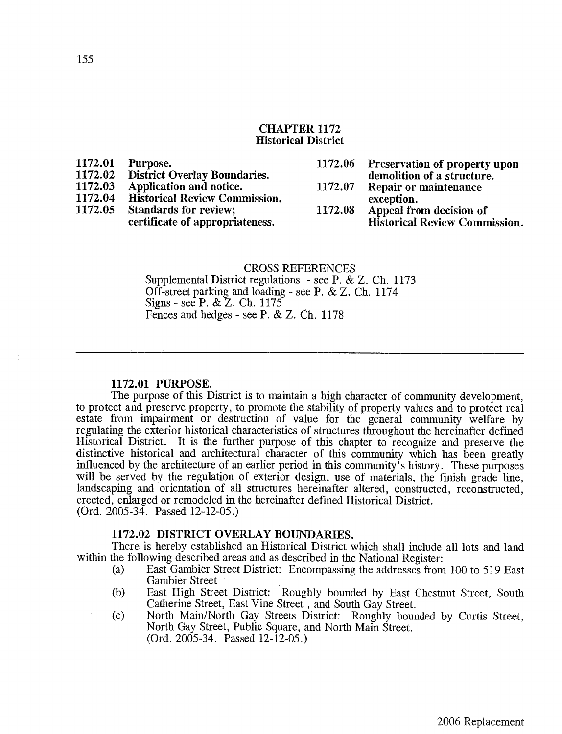#### **CHAPTER 1172 Historical District**

| 1172.01<br>1172.02<br>1172.03<br>1172.04<br>1172.05 | Purpose.<br><b>District Overlay Boundaries.</b><br>Application and notice.<br><b>Historical Review Commission.</b><br><b>Standards for review;</b> | 1172.07<br>1172.08 | 1172.06 Preservation of property upon<br>demolition of a structure.<br>Repair or maintenance<br>exception.<br>Appeal from decision of |
|-----------------------------------------------------|----------------------------------------------------------------------------------------------------------------------------------------------------|--------------------|---------------------------------------------------------------------------------------------------------------------------------------|
|                                                     | certificate of appropriateness.                                                                                                                    |                    | <b>Historical Review Commission.</b>                                                                                                  |

#### **CROSS REFERENCES**

Supplemental District regulations - see P. & Z. Ch. 1173 Off-street parking and loading - see P. & Z. Ch. 1174 Signs - see P. & Z. Ch. 1175 Fences and hedges - see P. & Z. Ch. 1178

#### 1172.01 PURPOSE.

The purpose of this District is to maintain a high character of community development. to protect and preserve property, to promote the stability of property values and to protect real estate from impairment or destruction of value for the general community welfare by regulating the exterior historical characteristics of structures throughout the hereinafter defined Historical District. It is the further purpose of this chapter to recognize and preserve the distinctive historical and architectural character of this community which has been greatly influenced by the architecture of an earlier period in this community's history. These purposes will be served by the regulation of exterior design, use of materials, the finish grade line, landscaping and orientation of all structures hereinafter altered, constructed, reconstructed, erected, enlarged or remodeled in the hereinafter defined Historical District.  $(Ord. 2005-34.$  Passed 12-12-05.)

#### 1172.02 DISTRICT OVERLAY BOUNDARIES.

There is hereby established an Historical District which shall include all lots and land within the following described areas and as described in the National Register:

- $(a)$ East Gambier Street District: Encompassing the addresses from 100 to 519 East **Gambier Street**
- East High Street District: Roughly bounded by East Chestnut Street, South (b) Catherine Street, East Vine Street, and South Gay Street.
- $(c)$ North Main/North Gay Streets District: Roughly bounded by Curtis Street, North Gay Street, Public Square, and North Main Street.  $(Ord. 2005-34.$  Passed  $12-12-05.)$

 $\ddot{\phantom{a}}$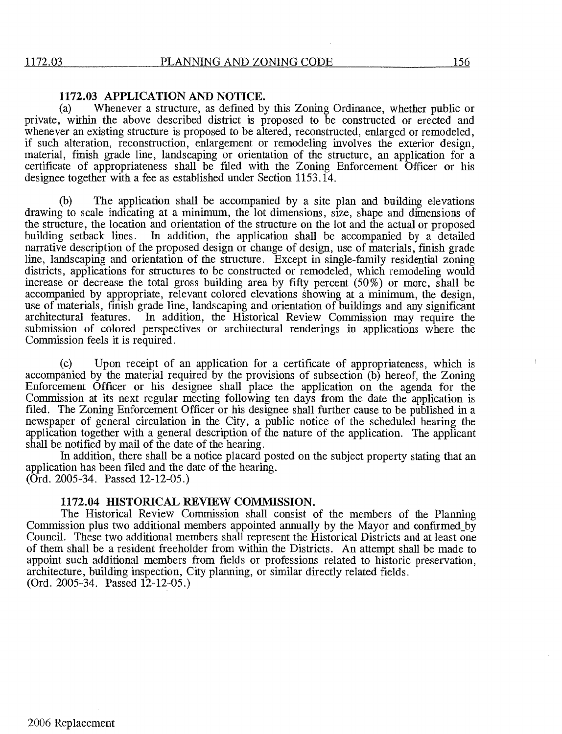#### 1172.03 APPLICATION AND NOTICE.

Whenever a structure, as defined by this Zoning Ordinance, whether public or  $(a)$ private, within the above described district is proposed to be constructed or erected and whenever an existing structure is proposed to be altered, reconstructed, enlarged or remodeled, if such alteration, reconstruction, enlargement or remodeling involves the exterior design, material, finish grade line, landscaping or orientation of the structure, an application for a certificate of appropriateness shall be filed with the Zoning Enforcement Officer or his designee together with a fee as established under Section 1153.14.

The application shall be accompanied by a site plan and building elevations (b) drawing to scale indicating at a minimum, the lot dimensions, size, shape and dimensions of the structure, the location and orientation of the structure on the lot and the actual or proposed building setback lines. In addition, the application shall be accompanied by a detailed narrative description of the proposed design or change of design, use of materials, finish grade line, landscaping and orientation of the structure. Except in single-family residential zoning districts, applications for structures to be constructed or remodeled, which remodeling would increase or decrease the total gross building area by fifty percent  $(50\%)$  or more, shall be accompanied by appropriate, relevant colored elevations showing at a minimum, the design, use of materials, finish grade line, landscaping and orientation of buildings and any significant architectural features. In addition, the Historical Review Commission may require the submission of colored perspectives or architectural renderings in applications where the Commission feels it is required.

 $(c)$ Upon receipt of an application for a certificate of appropriateness, which is accompanied by the material required by the provisions of subsection (b) hereof, the Zoning Enforcement Officer or his designee shall place the application on the agenda for the Commission at its next regular meeting following ten days from the date the application is filed. The Zoning Enforcement Officer or his designee shall further cause to be published in a newspaper of general circulation in the City, a public notice of the scheduled hearing the application together with a general description of the nature of the application. The applicant shall be notified by mail of the date of the hearing.

In addition, there shall be a notice placard posted on the subject property stating that an application has been filed and the date of the hearing.  $(Ord. 2005-34.$  Passed 12-12-05.)

#### 1172.04 HISTORICAL REVIEW COMMISSION.

The Historical Review Commission shall consist of the members of the Planning Commission plus two additional members appointed annually by the Mayor and confirmed by Council. These two additional members shall represent the Historical Districts and at least one of them shall be a resident freeholder from within the Districts. An attempt shall be made to appoint such additional members from fields or professions related to historic preservation. architecture, building inspection, City planning, or similar directly related fields. (Ord. 2005-34. Passed 12-12-05.)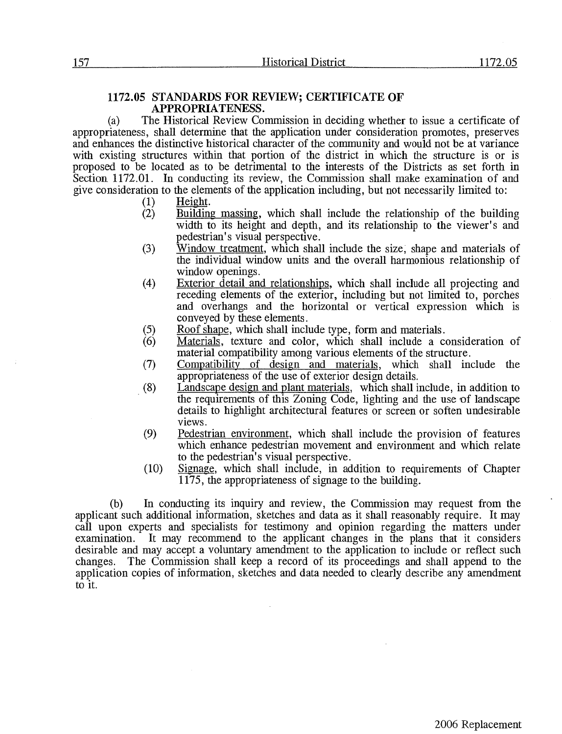#### 1172.05 STANDARDS FOR REVIEW; CERTIFICATE OF APPROPRIATENESS.

The Historical Review Commission in deciding whether to issue a certificate of  $(a)$ appropriateness, shall determine that the application under consideration promotes, preserves and enhances the distinctive historical character of the community and would not be at variance with existing structures within that portion of the district in which the structure is or is proposed to be located as to be detrimental to the interests of the Districts as set forth in Section 1172.01. In conducting its review, the Commission shall make examination of and give consideration to the elements of the application including, but not necessarily limited to:

- Height.  $(1)$
- $(2)$ Building massing, which shall include the relationship of the building width to its height and depth, and its relationship to the viewer's and pedestrian's visual perspective.
- $(3)$ Window treatment, which shall include the size, shape and materials of the individual window units and the overall harmonious relationship of window openings.
- Exterior detail and relationships, which shall include all projecting and  $(4)$ receding elements of the exterior, including but not limited to, porches and overhangs and the horizontal or vertical expression which is conveyed by these elements.
- $(5)$ Roof shape, which shall include type, form and materials.
- $(6)$ Materials, texture and color, which shall include a consideration of material compatibility among various elements of the structure.
- Compatibility of design and materials, which shall include the  $(7)$ appropriateness of the use of exterior design details.
- $(8)$ Landscape design and plant materials, which shall include, in addition to the requirements of this Zoning Code, lighting and the use of landscape details to highlight architectural features or screen or soften undesirable views.
- $(9)$ Pedestrian environment, which shall include the provision of features which enhance pedestrian movement and environment and which relate to the pedestrian's visual perspective.
- $(10)$ Signage, which shall include, in addition to requirements of Chapter 1175, the appropriateness of signage to the building.

In conducting its inquiry and review, the Commission may request from the  $(b)$ applicant such additional information, sketches and data as it shall reasonably require. It may call upon experts and specialists for testimony and opinion regarding the matters under It may recommend to the applicant changes in the plans that it considers examination. desirable and may accept a voluntary amendment to the application to include or reflect such The Commission shall keep a record of its proceedings and shall append to the changes. application copies of information, sketches and data needed to clearly describe any amendment to it.